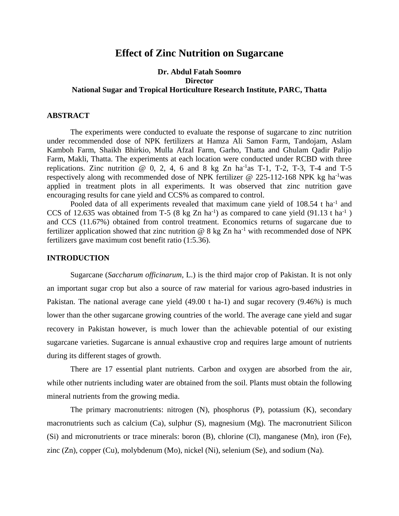# **Effect of Zinc Nutrition on Sugarcane**

# **Dr. Abdul Fatah Soomro Director National Sugar and Tropical Horticulture Research Institute, PARC, Thatta**

#### **ABSTRACT**

The experiments were conducted to evaluate the response of sugarcane to zinc nutrition under recommended dose of NPK fertilizers at Hamza Ali Samon Farm, Tandojam, Aslam Kamboh Farm, Shaikh Bhirkio, Mulla Afzal Farm, Garho, Thatta and Ghulam Qadir Palijo Farm, Makli, Thatta. The experiments at each location were conducted under RCBD with three replications. Zinc nutrition  $\omega$  0, 2, 4, 6 and 8 kg Zn ha<sup>-1</sup>as T-1, T-2, T-3, T-4 and T-5 respectively along with recommended dose of NPK fertilizer @ 225-112-168 NPK kg ha<sup>-1</sup>was applied in treatment plots in all experiments. It was observed that zinc nutrition gave encouraging results for cane yield and CCS% as compared to control.

Pooled data of all experiments revealed that maximum cane yield of 108.54 t ha<sup>-1</sup> and CCS of 12.635 was obtained from T-5 (8 kg Zn ha<sup>-1</sup>) as compared to cane yield (91.13 t ha<sup>-1</sup>) and CCS (11.67%) obtained from control treatment. Economics returns of sugarcane due to fertilizer application showed that zinc nutrition  $@ 8 kg Zn ha^{-1}$  with recommended dose of NPK fertilizers gave maximum cost benefit ratio (1:5.36).

#### **INTRODUCTION**

Sugarcane (*Saccharum officinarum,* L.) is the third major crop of Pakistan. It is not only an important sugar crop but also a source of raw material for various agro-based industries in Pakistan. The national average cane yield (49.00 t ha-1) and sugar recovery (9.46%) is much lower than the other sugarcane growing countries of the world. The average cane yield and sugar recovery in Pakistan however, is much lower than the achievable potential of our existing sugarcane varieties. Sugarcane is annual exhaustive crop and requires large amount of nutrients during its different stages of growth.

There are 17 essential plant nutrients. Carbon and oxygen are absorbed from the air, while other nutrients including water are obtained from the soil. Plants must obtain the following mineral nutrients from the growing media.

The primary macronutrients: nitrogen (N), phosphorus (P), potassium (K), secondary macronutrients such as calcium (Ca), sulphur (S), magnesium (Mg). The macronutrient Silicon (Si) and micronutrients or trace minerals: boron (B), chlorine (Cl), manganese (Mn), iron (Fe), zinc (Zn), copper (Cu), molybdenum (Mo), nickel (Ni), selenium (Se), and sodium (Na).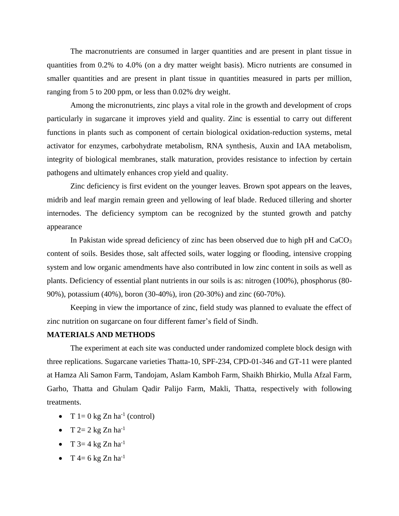The macronutrients are consumed in larger quantities and are present in plant tissue in quantities from 0.2% to 4.0% (on a dry matter weight basis). Micro nutrients are consumed in smaller quantities and are present in plant tissue in quantities measured in parts per million, ranging from 5 to 200 ppm, or less than 0.02% dry weight.

Among the micronutrients, zinc plays a vital role in the growth and development of crops particularly in sugarcane it improves yield and quality. Zinc is essential to carry out different functions in plants such as component of certain biological oxidation-reduction systems, metal activator for enzymes, carbohydrate metabolism, RNA synthesis, Auxin and IAA metabolism, integrity of biological membranes, stalk maturation, provides resistance to infection by certain pathogens and ultimately enhances crop yield and quality.

Zinc deficiency is first evident on the younger leaves. Brown spot appears on the leaves, midrib and leaf margin remain green and yellowing of leaf blade. Reduced tillering and shorter internodes. The deficiency symptom can be recognized by the stunted growth and patchy appearance

In Pakistan wide spread deficiency of zinc has been observed due to high  $pH$  and  $CaCO<sub>3</sub>$ content of soils. Besides those, salt affected soils, water logging or flooding, intensive cropping system and low organic amendments have also contributed in low zinc content in soils as well as plants. Deficiency of essential plant nutrients in our soils is as: nitrogen (100%), phosphorus (80- 90%), potassium (40%), boron (30-40%), iron (20-30%) and zinc (60-70%).

Keeping in view the importance of zinc, field study was planned to evaluate the effect of zinc nutrition on sugarcane on four different famer's field of Sindh.

# **MATERIALS AND METHODS**

The experiment at each site was conducted under randomized complete block design with three replications. Sugarcane varieties Thatta-10, SPF-234, CPD-01-346 and GT-11 were planted at Hamza Ali Samon Farm, Tandojam, Aslam Kamboh Farm, Shaikh Bhirkio, Mulla Afzal Farm, Garho, Thatta and Ghulam Qadir Palijo Farm, Makli, Thatta, respectively with following treatments.

- T  $1=0$  kg Zn ha<sup>-1</sup> (control)
- T  $2=2$  kg Zn  $ha^{-1}$
- T  $3=4$  kg Zn ha<sup>-1</sup>
- T 4= 6 kg Zn  $ha^{-1}$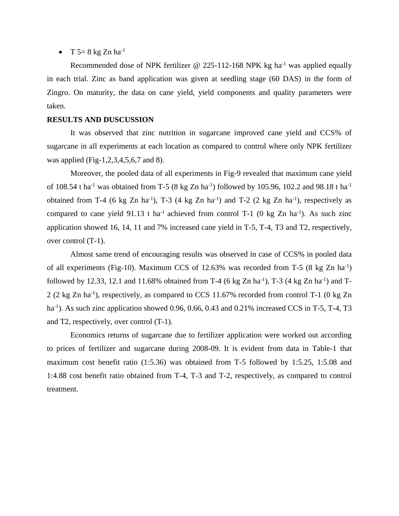•  $T$  5= 8 kg Zn ha<sup>-1</sup>

Recommended dose of NPK fertilizer @ 225-112-168 NPK kg ha<sup>-1</sup> was applied equally in each trial. Zinc as band application was given at seedling stage (60 DAS) in the form of Zingro. On maturity, the data on cane yield, yield components and quality parameters were taken.

## **RESULTS AND DUSCUSSION**

It was observed that zinc nutrition in sugarcane improved cane yield and CCS% of sugarcane in all experiments at each location as compared to control where only NPK fertilizer was applied (Fig-1,2,3,4,5,6,7 and 8).

Moreover, the pooled data of all experiments in Fig-9 revealed that maximum cane yield of 108.54 t ha<sup>-1</sup> was obtained from T-5 (8 kg Zn ha<sup>-1</sup>) followed by 105.96, 102.2 and 98.18 t ha<sup>-1</sup> obtained from T-4 (6 kg Zn ha<sup>-1</sup>), T-3 (4 kg Zn ha<sup>-1</sup>) and T-2 (2 kg Zn ha<sup>-1</sup>), respectively as compared to cane yield  $91.13$  t ha<sup>-1</sup> achieved from control T-1 (0 kg Zn ha<sup>-1</sup>). As such zinc application showed 16, 14, 11 and 7% increased cane yield in T-5, T-4, T3 and T2, respectively, over control (T-1).

Almost same trend of encouraging results was observed in case of CCS% in pooled data of all experiments (Fig-10). Maximum CCS of 12.63% was recorded from T-5 (8 kg Zn ha<sup>-1</sup>) followed by 12.33, 12.1 and 11.68% obtained from T-4 (6 kg Zn ha<sup>-1</sup>), T-3 (4 kg Zn ha<sup>-1</sup>) and T-2 (2 kg Zn ha<sup>-1</sup>), respectively, as compared to CCS 11.67% recorded from control T-1 (0 kg Zn ha<sup>-1</sup>). As such zinc application showed 0.96, 0.66, 0.43 and 0.21% increased CCS in T-5, T-4, T3 and T2, respectively, over control (T-1).

Economics returns of sugarcane due to fertilizer application were worked out according to prices of fertilizer and sugarcane during 2008-09. It is evident from data in Table-1 that maximum cost benefit ratio (1:5.36) was obtained from T-5 followed by 1:5.25, 1:5.08 and 1:4.88 cost benefit ratio obtained from T-4, T-3 and T-2, respectively, as compared to control treatment.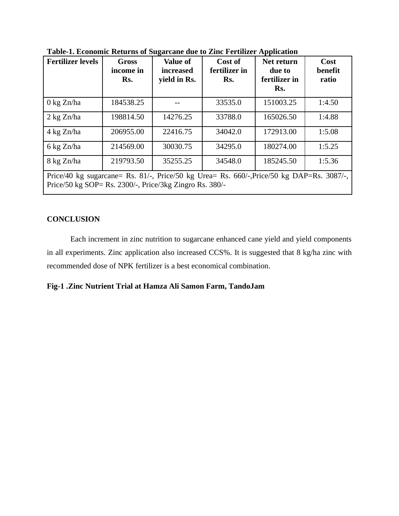| <b>Fertilizer levels</b>                                                                                                                                                                                                                                                                                                              | <b>Gross</b><br>income in<br>Rs. | <b>Value of</b><br><i>increased</i><br>yield in Rs. | Cost of<br>fertilizer in<br>Rs. | Net return<br>due to<br>fertilizer in<br>Rs. | Cost<br>benefit<br>ratio |
|---------------------------------------------------------------------------------------------------------------------------------------------------------------------------------------------------------------------------------------------------------------------------------------------------------------------------------------|----------------------------------|-----------------------------------------------------|---------------------------------|----------------------------------------------|--------------------------|
| $0 \text{ kg Zn/ha}$                                                                                                                                                                                                                                                                                                                  | 184538.25                        |                                                     | 33535.0                         | 151003.25                                    | 1:4.50                   |
| $2 \text{ kg Zn/ha}$                                                                                                                                                                                                                                                                                                                  | 198814.50                        | 14276.25                                            | 33788.0                         | 165026.50                                    | 1:4.88                   |
| $4 \text{ kg Zn/ha}$                                                                                                                                                                                                                                                                                                                  | 206955.00                        | 22416.75                                            | 34042.0                         | 172913.00                                    | 1:5.08                   |
| 6 kg Zn/ha                                                                                                                                                                                                                                                                                                                            | 214569.00                        | 30030.75                                            | 34295.0                         | 180274.00                                    | 1:5.25                   |
| 8 kg Zn/ha                                                                                                                                                                                                                                                                                                                            | 219793.50                        | 35255.25                                            | 34548.0                         | 185245.50                                    | 1:5.36                   |
| $\mathbf{D}_{\text{max}}/40$ kg examples $\mathbf{D}_{\text{e}}$ 01/<br>$\mathbf{D}_{\text{miss}}/\mathbf{E} \mathbf{0}$ kg $\mathbf{L}_{\text{res}} = \mathbf{D}_{\text{S}}$ $\mathbf{E} \mathbf{E} \mathbf{0} / \mathbf{D}_{\text{miss}}/\mathbf{E} \mathbf{0}$ kg $\mathbf{D} \mathbf{A} \mathbf{D} - \mathbf{D}_{\text{S}}$ 2007/ |                                  |                                                     |                                 |                                              |                          |

**Table-1. Economic Returns of Sugarcane due to Zinc Fertilizer Application**

Price/40 kg sugarcane= Rs. 81/-, Price/50 kg Urea= Rs. 660/-,Price/50 kg DAP=Rs. 3087/-, Price/50 kg SOP= Rs. 2300/-, Price/3kg Zingro Rs. 380/-

# **CONCLUSION**

Each increment in zinc nutrition to sugarcane enhanced cane yield and yield components in all experiments. Zinc application also increased CCS%. It is suggested that 8 kg/ha zinc with recommended dose of NPK fertilizer is a best economical combination.

**Fig-1 .Zinc Nutrient Trial at Hamza Ali Samon Farm, TandoJam**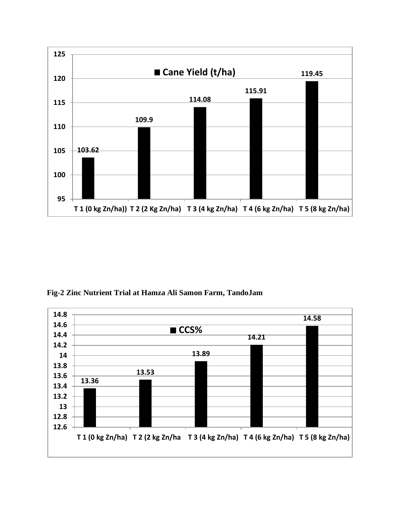

**Fig-2 Zinc Nutrient Trial at Hamza Ali Samon Farm, TandoJam**

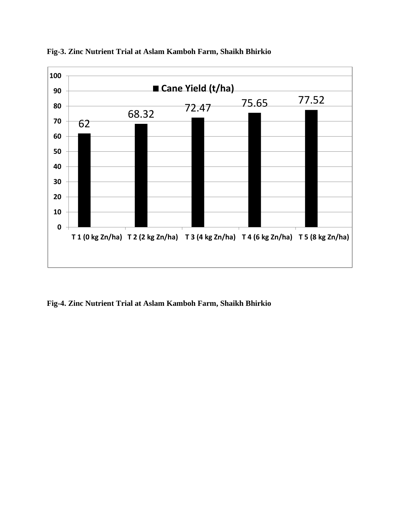

**Fig-3. Zinc Nutrient Trial at Aslam Kamboh Farm, Shaikh Bhirkio**

**Fig-4. Zinc Nutrient Trial at Aslam Kamboh Farm, Shaikh Bhirkio**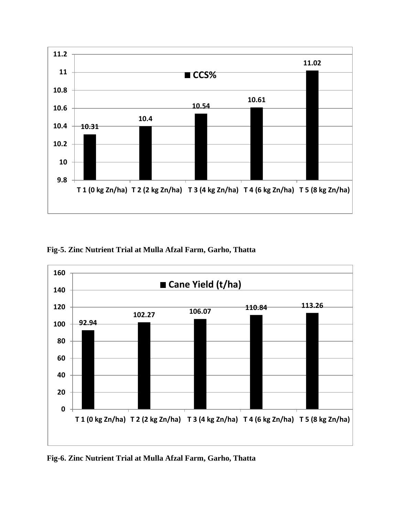

**Fig-5. Zinc Nutrient Trial at Mulla Afzal Farm, Garho, Thatta**



**Fig-6. Zinc Nutrient Trial at Mulla Afzal Farm, Garho, Thatta**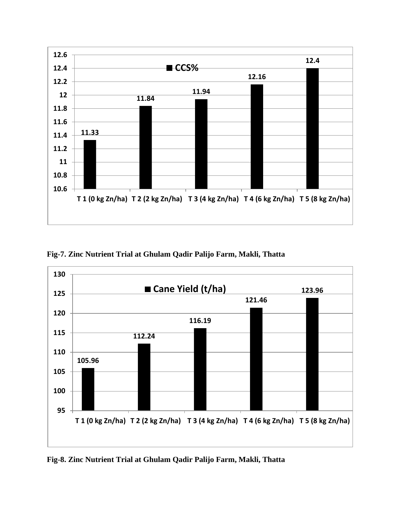

**Fig-7. Zinc Nutrient Trial at Ghulam Qadir Palijo Farm, Makli, Thatta**



**Fig-8. Zinc Nutrient Trial at Ghulam Qadir Palijo Farm, Makli, Thatta**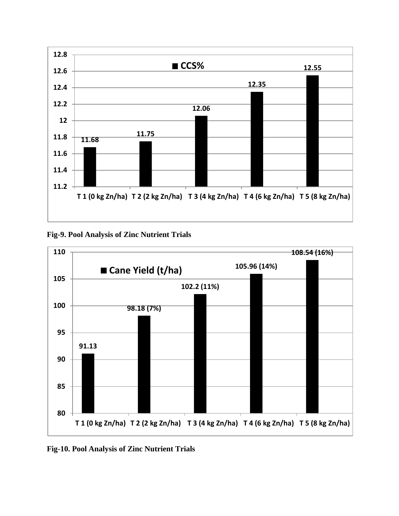

**Fig-9. Pool Analysis of Zinc Nutrient Trials**



**Fig-10. Pool Analysis of Zinc Nutrient Trials**